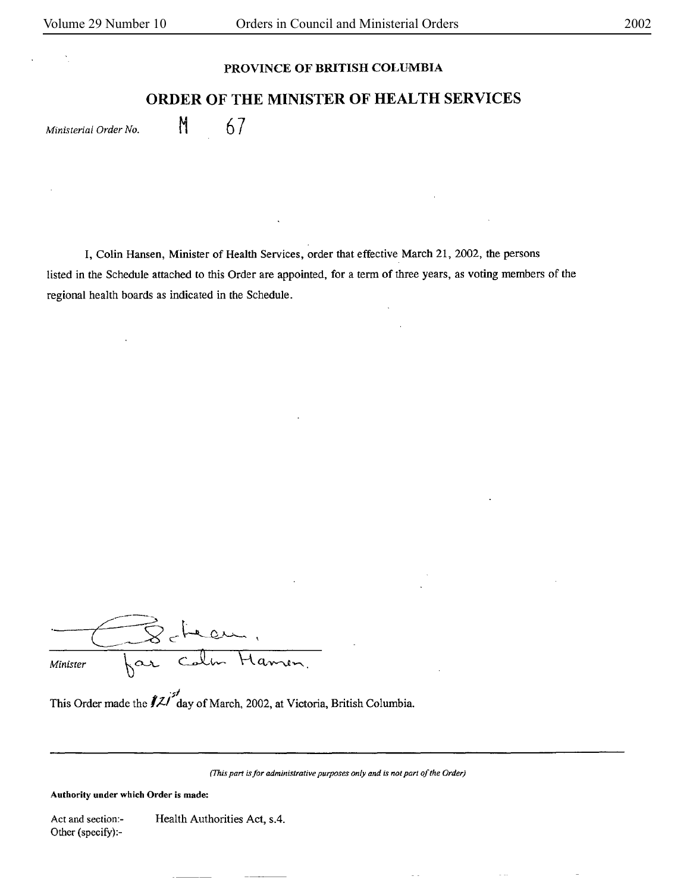## **PROVINCE OF BRITISH COLUMBIA**

## **ORDER OF THE MINISTER OF HEALTH SERVICES**

*Ministerial Order No.* M 67

I, Colin Hansen, Minister of Health Services, order that effective March 21, 2002, the persons listed in the Schedule attached to this Order are appointed, for a term of three years, as voting members of the regional health boards as indicated in the Schedule.

 $\frac{1}{100}$  Minister  $\begin{bmatrix} \alpha \end{bmatrix}$  Colm Hamen.

This Order made the  $\ell^2$  day of March, 2002, at Victoria, British Columbia.

*(This part is for administrative purposes only and is not part of the Order)* 

**Authority under which Order is made:** 

Act and section:- Other (specify}:- Health Authorities Act, s.4.